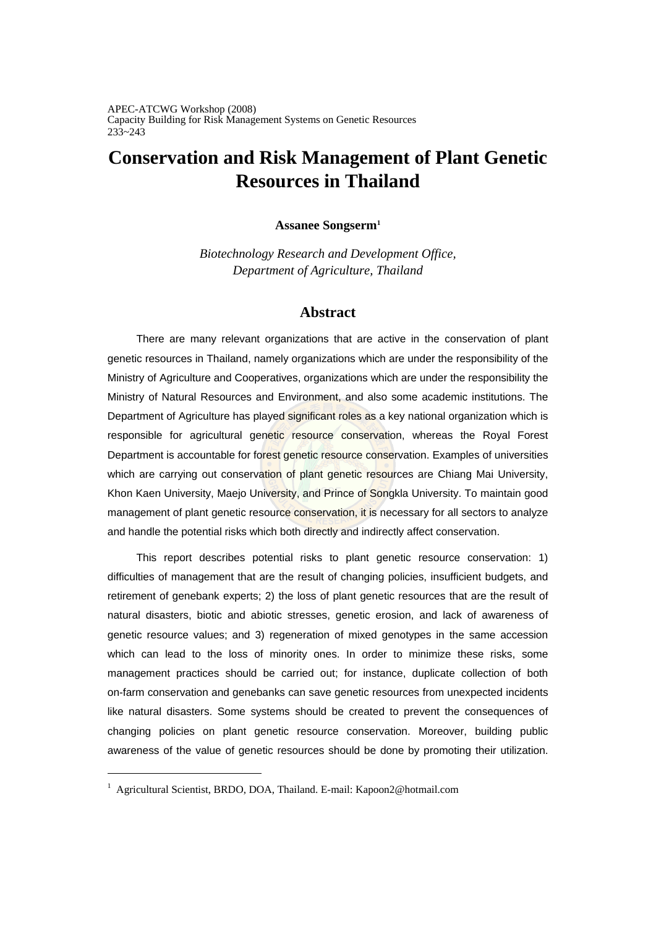APEC-ATCWG Workshop (2008) Capacity Building for Risk Management Systems on Genetic Resources 233~243

# **Conservation and Risk Management of Plant Genetic Resources in Thailand**

### **Assanee Songserm1**

*Biotechnology Research and Development Office, Department of Agriculture, Thailand* 

# **Abstract**

There are many relevant organizations that are active in the conservation of plant genetic resources in Thailand, namely organizations which are under the responsibility of the Ministry of Agriculture and Cooperatives, organizations which are under the responsibility the Ministry of Natural Resources and Environment, and also some academic institutions. The Department of Agriculture has played significant roles as a key national organization which is responsible for agricultural genetic resource conservation, whereas the Royal Forest Department is accountable for forest genetic resource conservation. Examples of universities which are carrying out conservation of plant genetic resources are Chiang Mai University, Khon Kaen University, Maejo University, and Prince of Songkla University. To maintain good management of plant genetic resource conservation, it is necessary for all sectors to analyze and handle the potential risks which both directly and indirectly affect conservation.

This report describes potential risks to plant genetic resource conservation: 1) difficulties of management that are the result of changing policies, insufficient budgets, and retirement of genebank experts; 2) the loss of plant genetic resources that are the result of natural disasters, biotic and abiotic stresses, genetic erosion, and lack of awareness of genetic resource values; and 3) regeneration of mixed genotypes in the same accession which can lead to the loss of minority ones. In order to minimize these risks, some management practices should be carried out; for instance, duplicate collection of both on-farm conservation and genebanks can save genetic resources from unexpected incidents like natural disasters. Some systems should be created to prevent the consequences of changing policies on plant genetic resource conservation. Moreover, building public awareness of the value of genetic resources should be done by promoting their utilization.

 $\overline{a}$ 

<sup>&</sup>lt;sup>1</sup> Agricultural Scientist, BRDO, DOA, Thailand. E-mail: Kapoon2@hotmail.com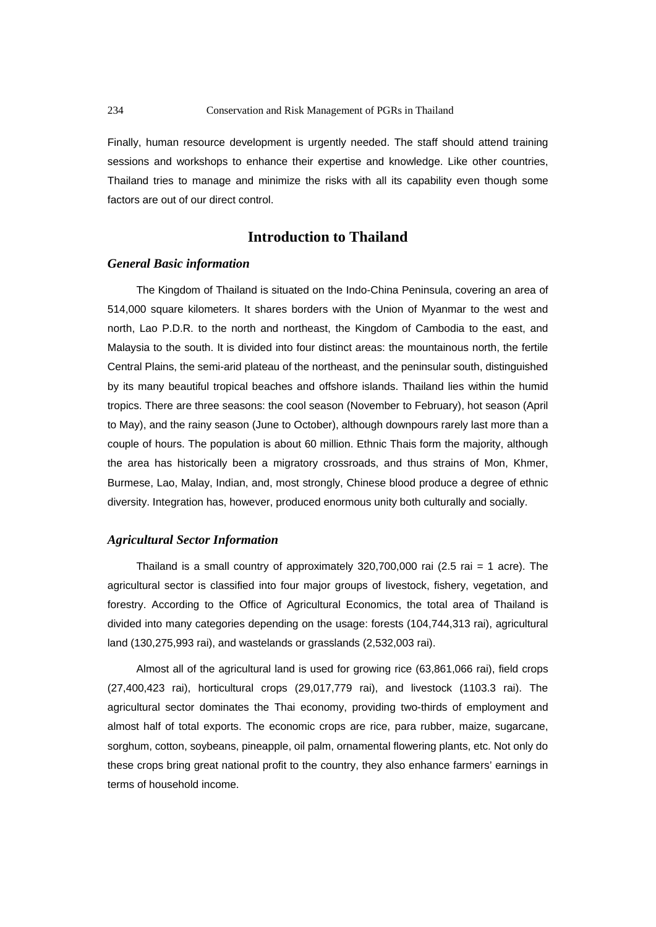Finally, human resource development is urgently needed. The staff should attend training sessions and workshops to enhance their expertise and knowledge. Like other countries, Thailand tries to manage and minimize the risks with all its capability even though some factors are out of our direct control.

# **Introduction to Thailand**

### *General Basic information*

The Kingdom of Thailand is situated on the Indo-China Peninsula, covering an area of 514,000 square kilometers. It shares borders with the Union of Myanmar to the west and north, Lao P.D.R. to the north and northeast, the Kingdom of Cambodia to the east, and Malaysia to the south. It is divided into four distinct areas: the mountainous north, the fertile Central Plains, the semi-arid plateau of the northeast, and the peninsular south, distinguished by its many beautiful tropical beaches and offshore islands. Thailand lies within the humid tropics. There are three seasons: the cool season (November to February), hot season (April to May), and the rainy season (June to October), although downpours rarely last more than a couple of hours. The population is about 60 million. Ethnic Thais form the majority, although the area has historically been a migratory crossroads, and thus strains of Mon, Khmer, Burmese, Lao, Malay, Indian, and, most strongly, Chinese blood produce a degree of ethnic diversity. Integration has, however, produced enormous unity both culturally and socially.

### *Agricultural Sector Information*

Thailand is a small country of approximately  $320,700,000$  rai  $(2.5 \text{ rai} = 1 \text{ acre})$ . The agricultural sector is classified into four major groups of livestock, fishery, vegetation, and forestry. According to the Office of Agricultural Economics, the total area of Thailand is divided into many categories depending on the usage: forests (104,744,313 rai), agricultural land (130,275,993 rai), and wastelands or grasslands (2,532,003 rai).

Almost all of the agricultural land is used for growing rice (63,861,066 rai), field crops (27,400,423 rai), horticultural crops (29,017,779 rai), and livestock (1103.3 rai). The agricultural sector dominates the Thai economy, providing two-thirds of employment and almost half of total exports. The economic crops are rice, para rubber, maize, sugarcane, sorghum, cotton, soybeans, pineapple, oil palm, ornamental flowering plants, etc. Not only do these crops bring great national profit to the country, they also enhance farmers' earnings in terms of household income.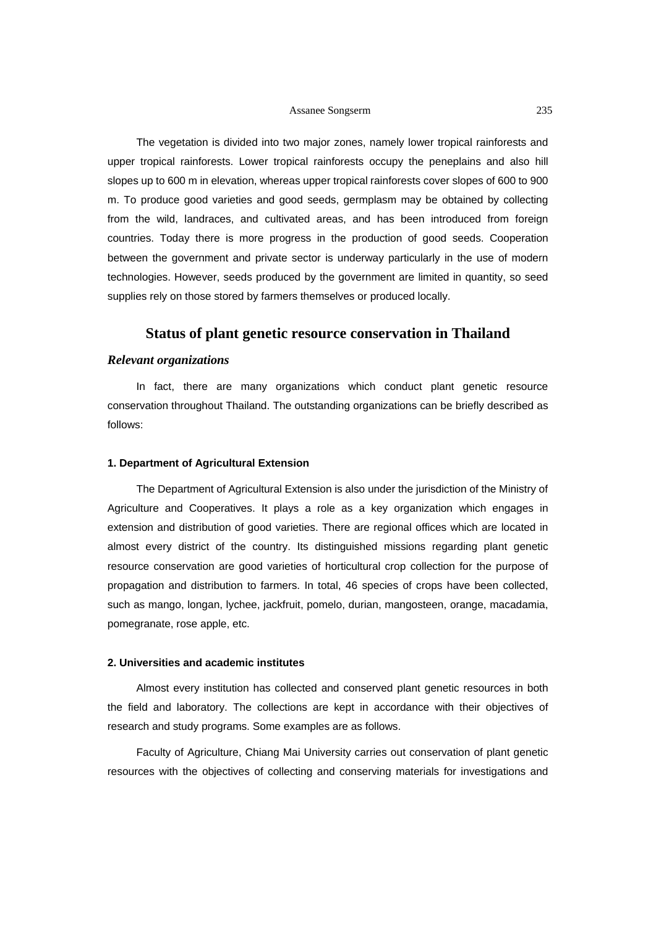#### Assanee Songserm 235

The vegetation is divided into two major zones, namely lower tropical rainforests and upper tropical rainforests. Lower tropical rainforests occupy the peneplains and also hill slopes up to 600 m in elevation, whereas upper tropical rainforests cover slopes of 600 to 900 m. To produce good varieties and good seeds, germplasm may be obtained by collecting from the wild, landraces, and cultivated areas, and has been introduced from foreign countries. Today there is more progress in the production of good seeds. Cooperation between the government and private sector is underway particularly in the use of modern technologies. However, seeds produced by the government are limited in quantity, so seed supplies rely on those stored by farmers themselves or produced locally.

# **Status of plant genetic resource conservation in Thailand**

## *Relevant organizations*

In fact, there are many organizations which conduct plant genetic resource conservation throughout Thailand. The outstanding organizations can be briefly described as follows:

### **1. Department of Agricultural Extension**

The Department of Agricultural Extension is also under the jurisdiction of the Ministry of Agriculture and Cooperatives. It plays a role as a key organization which engages in extension and distribution of good varieties. There are regional offices which are located in almost every district of the country. Its distinguished missions regarding plant genetic resource conservation are good varieties of horticultural crop collection for the purpose of propagation and distribution to farmers. In total, 46 species of crops have been collected, such as mango, longan, lychee, jackfruit, pomelo, durian, mangosteen, orange, macadamia, pomegranate, rose apple, etc.

### **2. Universities and academic institutes**

Almost every institution has collected and conserved plant genetic resources in both the field and laboratory. The collections are kept in accordance with their objectives of research and study programs. Some examples are as follows.

Faculty of Agriculture, Chiang Mai University carries out conservation of plant genetic resources with the objectives of collecting and conserving materials for investigations and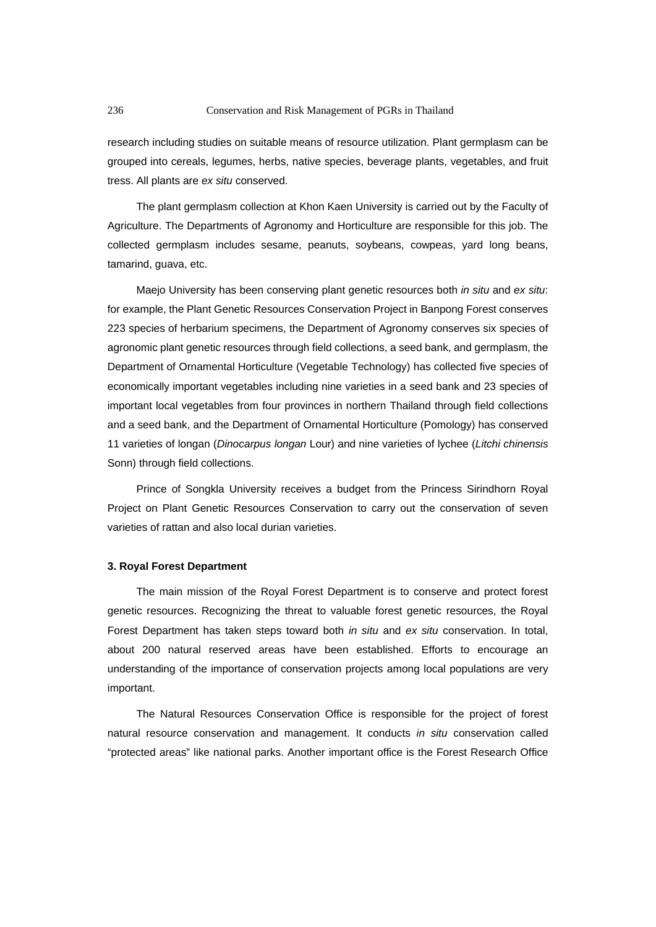research including studies on suitable means of resource utilization. Plant germplasm can be grouped into cereals, legumes, herbs, native species, beverage plants, vegetables, and fruit tress. All plants are *ex situ* conserved.

The plant germplasm collection at Khon Kaen University is carried out by the Faculty of Agriculture. The Departments of Agronomy and Horticulture are responsible for this job. The collected germplasm includes sesame, peanuts, soybeans, cowpeas, yard long beans, tamarind, guava, etc.

Maejo University has been conserving plant genetic resources both *in situ* and *ex situ*: for example, the Plant Genetic Resources Conservation Project in Banpong Forest conserves 223 species of herbarium specimens, the Department of Agronomy conserves six species of agronomic plant genetic resources through field collections, a seed bank, and germplasm, the Department of Ornamental Horticulture (Vegetable Technology) has collected five species of economically important vegetables including nine varieties in a seed bank and 23 species of important local vegetables from four provinces in northern Thailand through field collections and a seed bank, and the Department of Ornamental Horticulture (Pomology) has conserved 11 varieties of longan (*Dinocarpus longan* Lour) and nine varieties of lychee (*Litchi chinensis* Sonn) through field collections.

Prince of Songkla University receives a budget from the Princess Sirindhorn Royal Project on Plant Genetic Resources Conservation to carry out the conservation of seven varieties of rattan and also local durian varieties.

### **3. Royal Forest Department**

The main mission of the Royal Forest Department is to conserve and protect forest genetic resources. Recognizing the threat to valuable forest genetic resources, the Royal Forest Department has taken steps toward both *in situ* and *ex situ* conservation. In total, about 200 natural reserved areas have been established. Efforts to encourage an understanding of the importance of conservation projects among local populations are very important.

The Natural Resources Conservation Office is responsible for the project of forest natural resource conservation and management. It conducts *in situ* conservation called "protected areas" like national parks. Another important office is the Forest Research Office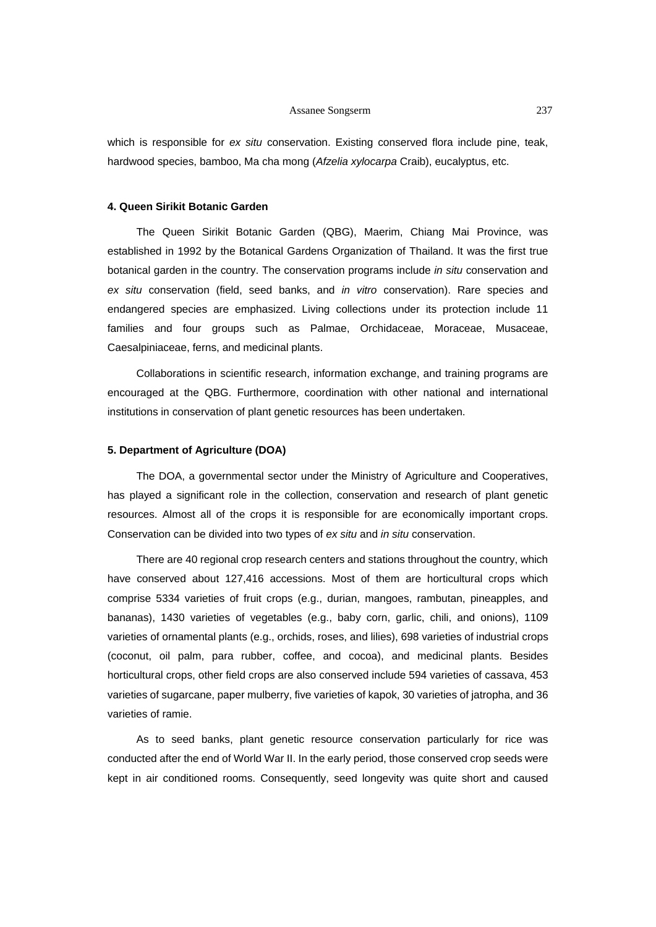#### Assanee Songserm 237

which is responsible for *ex situ* conservation. Existing conserved flora include pine, teak, hardwood species, bamboo, Ma cha mong (*Afzelia xylocarpa* Craib), eucalyptus, etc.

#### **4. Queen Sirikit Botanic Garden**

The Queen Sirikit Botanic Garden (QBG), Maerim, Chiang Mai Province, was established in 1992 by the Botanical Gardens Organization of Thailand. It was the first true botanical garden in the country. The conservation programs include *in situ* conservation and *ex situ* conservation (field, seed banks, and *in vitro* conservation). Rare species and endangered species are emphasized. Living collections under its protection include 11 families and four groups such as Palmae, Orchidaceae, Moraceae, Musaceae, Caesalpiniaceae, ferns, and medicinal plants.

Collaborations in scientific research, information exchange, and training programs are encouraged at the QBG. Furthermore, coordination with other national and international institutions in conservation of plant genetic resources has been undertaken.

#### **5. Department of Agriculture (DOA)**

The DOA, a governmental sector under the Ministry of Agriculture and Cooperatives, has played a significant role in the collection, conservation and research of plant genetic resources. Almost all of the crops it is responsible for are economically important crops. Conservation can be divided into two types of *ex situ* and *in situ* conservation.

There are 40 regional crop research centers and stations throughout the country, which have conserved about 127,416 accessions. Most of them are horticultural crops which comprise 5334 varieties of fruit crops (e.g., durian, mangoes, rambutan, pineapples, and bananas), 1430 varieties of vegetables (e.g., baby corn, garlic, chili, and onions), 1109 varieties of ornamental plants (e.g., orchids, roses, and lilies), 698 varieties of industrial crops (coconut, oil palm, para rubber, coffee, and cocoa), and medicinal plants. Besides horticultural crops, other field crops are also conserved include 594 varieties of cassava, 453 varieties of sugarcane, paper mulberry, five varieties of kapok, 30 varieties of jatropha, and 36 varieties of ramie.

As to seed banks, plant genetic resource conservation particularly for rice was conducted after the end of World War II. In the early period, those conserved crop seeds were kept in air conditioned rooms. Consequently, seed longevity was quite short and caused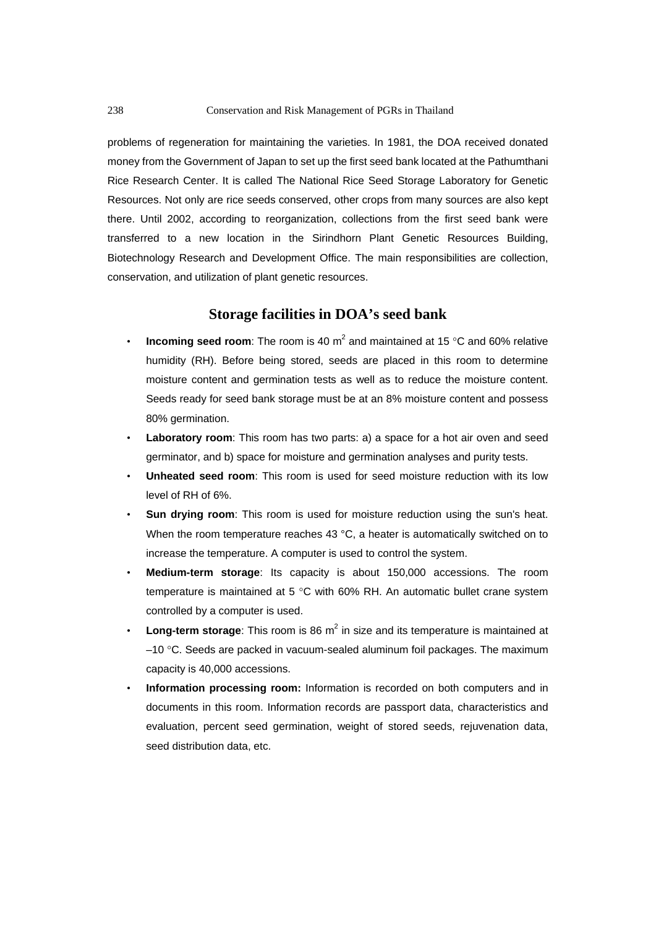problems of regeneration for maintaining the varieties. In 1981, the DOA received donated money from the Government of Japan to set up the first seed bank located at the Pathumthani Rice Research Center. It is called The National Rice Seed Storage Laboratory for Genetic Resources. Not only are rice seeds conserved, other crops from many sources are also kept there. Until 2002, according to reorganization, collections from the first seed bank were transferred to a new location in the Sirindhorn Plant Genetic Resources Building, Biotechnology Research and Development Office. The main responsibilities are collection, conservation, and utilization of plant genetic resources.

# **Storage facilities in DOA's seed bank**

- **Incoming seed room**: The room is 40  $m^2$  and maintained at 15 °C and 60% relative humidity (RH). Before being stored, seeds are placed in this room to determine moisture content and germination tests as well as to reduce the moisture content. Seeds ready for seed bank storage must be at an 8% moisture content and possess 80% germination.
- **Laboratory room**: This room has two parts: a) a space for a hot air oven and seed germinator, and b) space for moisture and germination analyses and purity tests.
- **Unheated seed room**: This room is used for seed moisture reduction with its low level of RH of 6%.
- **Sun drying room**: This room is used for moisture reduction using the sun's heat. When the room temperature reaches 43 °C, a heater is automatically switched on to increase the temperature. A computer is used to control the system.
- **Medium-term storage**: Its capacity is about 150,000 accessions. The room temperature is maintained at 5 °C with 60% RH. An automatic bullet crane system controlled by a computer is used.
- Long-term storage: This room is 86 m<sup>2</sup> in size and its temperature is maintained at –10 °C. Seeds are packed in vacuum-sealed aluminum foil packages. The maximum capacity is 40,000 accessions.
- **Information processing room:** Information is recorded on both computers and in documents in this room. Information records are passport data, characteristics and evaluation, percent seed germination, weight of stored seeds, rejuvenation data, seed distribution data, etc.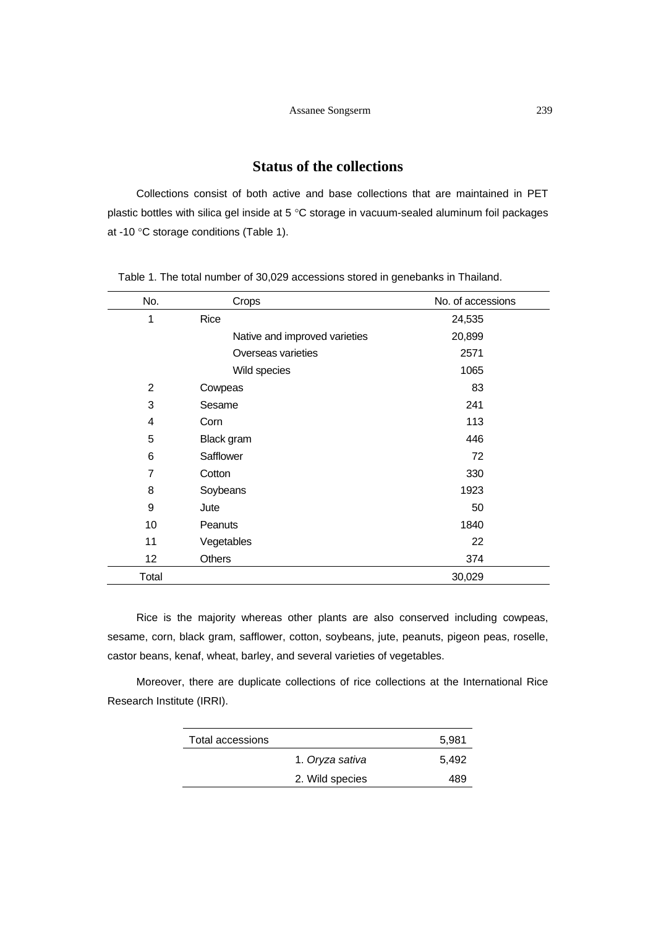# **Status of the collections**

Collections consist of both active and base collections that are maintained in PET plastic bottles with silica gel inside at 5 °C storage in vacuum-sealed aluminum foil packages at -10 °C storage conditions (Table 1).

| No.   | Crops                         | No. of accessions |
|-------|-------------------------------|-------------------|
| 1     | Rice                          | 24,535            |
|       | Native and improved varieties | 20,899            |
|       | Overseas varieties            | 2571              |
|       | Wild species                  | 1065              |
| 2     | Cowpeas                       | 83                |
| 3     | Sesame                        | 241               |
| 4     | Corn                          | 113               |
| 5     | Black gram                    | 446               |
| 6     | Safflower                     | 72                |
| 7     | Cotton                        | 330               |
| 8     | Soybeans                      | 1923              |
| 9     | Jute                          | 50                |
| 10    | Peanuts                       | 1840              |
| 11    | Vegetables                    | 22                |
| 12    | <b>Others</b>                 | 374               |
| Total |                               | 30,029            |

Table 1. The total number of 30,029 accessions stored in genebanks in Thailand.

Rice is the majority whereas other plants are also conserved including cowpeas, sesame, corn, black gram, safflower, cotton, soybeans, jute, peanuts, pigeon peas, roselle, castor beans, kenaf, wheat, barley, and several varieties of vegetables.

Moreover, there are duplicate collections of rice collections at the International Rice Research Institute (IRRI).

| Total accessions |                 | 5.981 |
|------------------|-----------------|-------|
|                  | 1. Oryza sativa | 5.492 |
|                  | 2. Wild species | 489   |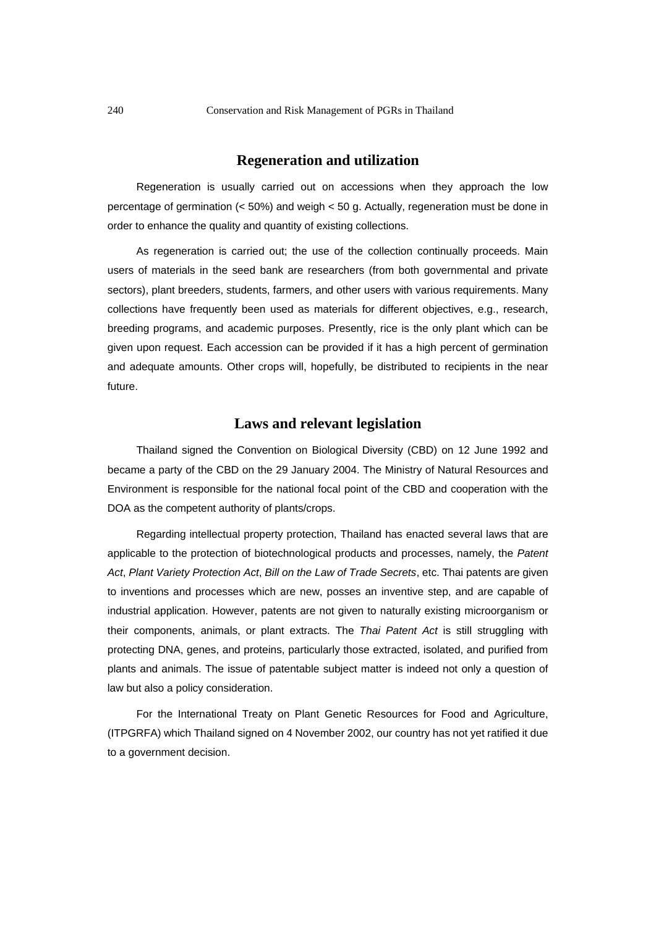# **Regeneration and utilization**

Regeneration is usually carried out on accessions when they approach the low percentage of germination (< 50%) and weigh < 50 g. Actually, regeneration must be done in order to enhance the quality and quantity of existing collections.

As regeneration is carried out; the use of the collection continually proceeds. Main users of materials in the seed bank are researchers (from both governmental and private sectors), plant breeders, students, farmers, and other users with various requirements. Many collections have frequently been used as materials for different objectives, e.g., research, breeding programs, and academic purposes. Presently, rice is the only plant which can be given upon request. Each accession can be provided if it has a high percent of germination and adequate amounts. Other crops will, hopefully, be distributed to recipients in the near future.

# **Laws and relevant legislation**

Thailand signed the Convention on Biological Diversity (CBD) on 12 June 1992 and became a party of the CBD on the 29 January 2004. The Ministry of Natural Resources and Environment is responsible for the national focal point of the CBD and cooperation with the DOA as the competent authority of plants/crops.

Regarding intellectual property protection, Thailand has enacted several laws that are applicable to the protection of biotechnological products and processes, namely, the *Patent Act*, *Plant Variety Protection Act*, *Bill on the Law of Trade Secrets*, etc. Thai patents are given to inventions and processes which are new, posses an inventive step, and are capable of industrial application. However, patents are not given to naturally existing microorganism or their components, animals, or plant extracts. The *Thai Patent Act* is still struggling with protecting DNA, genes, and proteins, particularly those extracted, isolated, and purified from plants and animals. The issue of patentable subject matter is indeed not only a question of law but also a policy consideration.

For the International Treaty on Plant Genetic Resources for Food and Agriculture, (ITPGRFA) which Thailand signed on 4 November 2002, our country has not yet ratified it due to a government decision.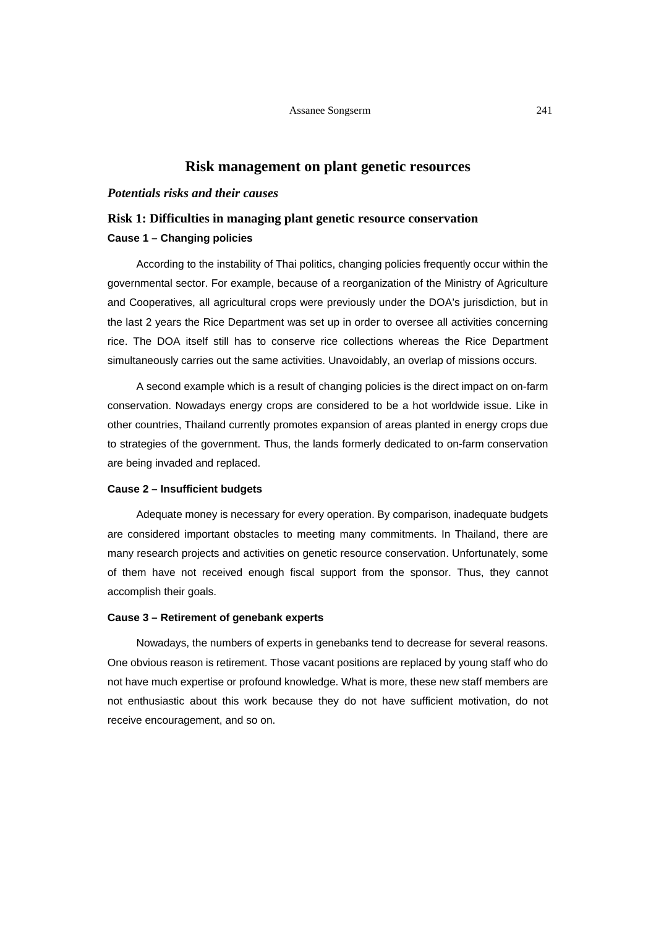# **Risk management on plant genetic resources**

### *Potentials risks and their causes*

# **Risk 1: Difficulties in managing plant genetic resource conservation Cause 1 – Changing policies**

According to the instability of Thai politics, changing policies frequently occur within the governmental sector. For example, because of a reorganization of the Ministry of Agriculture and Cooperatives, all agricultural crops were previously under the DOA's jurisdiction, but in the last 2 years the Rice Department was set up in order to oversee all activities concerning rice. The DOA itself still has to conserve rice collections whereas the Rice Department simultaneously carries out the same activities. Unavoidably, an overlap of missions occurs.

A second example which is a result of changing policies is the direct impact on on-farm conservation. Nowadays energy crops are considered to be a hot worldwide issue. Like in other countries, Thailand currently promotes expansion of areas planted in energy crops due to strategies of the government. Thus, the lands formerly dedicated to on-farm conservation are being invaded and replaced.

## **Cause 2 – Insufficient budgets**

Adequate money is necessary for every operation. By comparison, inadequate budgets are considered important obstacles to meeting many commitments. In Thailand, there are many research projects and activities on genetic resource conservation. Unfortunately, some of them have not received enough fiscal support from the sponsor. Thus, they cannot accomplish their goals.

#### **Cause 3 – Retirement of genebank experts**

Nowadays, the numbers of experts in genebanks tend to decrease for several reasons. One obvious reason is retirement. Those vacant positions are replaced by young staff who do not have much expertise or profound knowledge. What is more, these new staff members are not enthusiastic about this work because they do not have sufficient motivation, do not receive encouragement, and so on.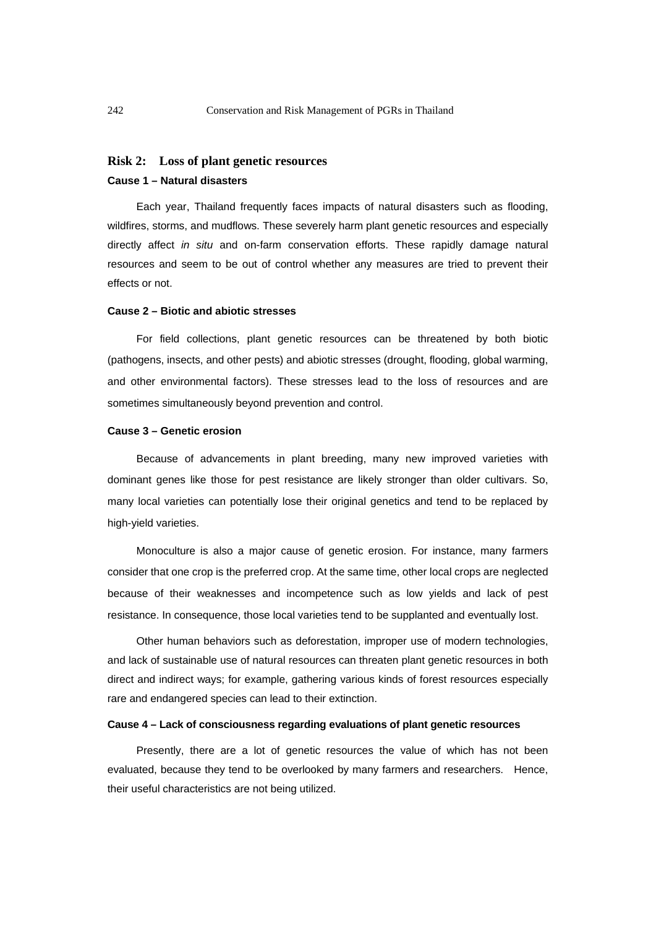### **Risk 2: Loss of plant genetic resources**

# **Cause 1 – Natural disasters**

Each year, Thailand frequently faces impacts of natural disasters such as flooding, wildfires, storms, and mudflows. These severely harm plant genetic resources and especially directly affect *in situ* and on-farm conservation efforts. These rapidly damage natural resources and seem to be out of control whether any measures are tried to prevent their effects or not.

### **Cause 2 – Biotic and abiotic stresses**

For field collections, plant genetic resources can be threatened by both biotic (pathogens, insects, and other pests) and abiotic stresses (drought, flooding, global warming, and other environmental factors). These stresses lead to the loss of resources and are sometimes simultaneously beyond prevention and control.

### **Cause 3 – Genetic erosion**

Because of advancements in plant breeding, many new improved varieties with dominant genes like those for pest resistance are likely stronger than older cultivars. So, many local varieties can potentially lose their original genetics and tend to be replaced by high-yield varieties.

Monoculture is also a major cause of genetic erosion. For instance, many farmers consider that one crop is the preferred crop. At the same time, other local crops are neglected because of their weaknesses and incompetence such as low yields and lack of pest resistance. In consequence, those local varieties tend to be supplanted and eventually lost.

Other human behaviors such as deforestation, improper use of modern technologies, and lack of sustainable use of natural resources can threaten plant genetic resources in both direct and indirect ways; for example, gathering various kinds of forest resources especially rare and endangered species can lead to their extinction.

#### **Cause 4 – Lack of consciousness regarding evaluations of plant genetic resources**

Presently, there are a lot of genetic resources the value of which has not been evaluated, because they tend to be overlooked by many farmers and researchers. Hence, their useful characteristics are not being utilized.